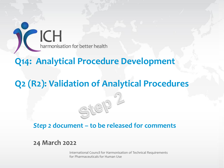**CH**<br>harmonisation for better health

## **Q14: Analytical Procedure Development**

S

## **Q2 (R2): Validation of Analytical Procedures**

#### *Step 2* **document – to be released for comments**

#### **24 March 2022**

International Council for Harmonisation of Technical Requirements for Pharmaceuticals for Human Use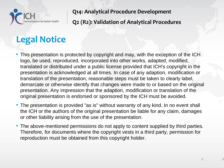

# **Legal Notice**

- This presentation is protected by copyright and may, with the exception of the ICH logo, be used, reproduced, incorporated into other works, adapted, modified, translated or distributed under a public license provided that ICH's copyright in the presentation is acknowledged at all times. In case of any adaption, modification or translation of the presentation, reasonable steps must be taken to clearly label, demarcate or otherwise identify that changes were made to or based on the original presentation. Any impression that the adaption, modification or translation of the original presentation is endorsed or sponsored by the ICH must be avoided.
- The presentation is provided "as is" without warranty of any kind. In no event shall the ICH or the authors of the original presentation be liable for any claim, damages or other liability arising from the use of the presentation.
- The above-mentioned permissions do not apply to content supplied by third parties. Therefore, for documents where the copyright vests in a third party, permission for reproduction must be obtained from this copyright holder.

**2**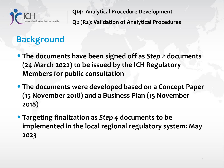

# **Background**

- •**The documents have been signed off as** *Step 2* **documents (24 March 2022) to be issued by the ICH Regulatory Members for public consultation**
- •**The documents were developed based on a Concept Paper (15 November 2018) and a Business Plan (15 November 2018)**
- •**Targeting finalization as** *Step 4* **documents to be implemented in the local regional regulatory system: May 2023**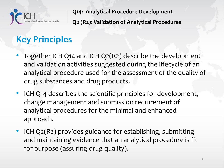

# **Key Principles**

- Together ICH Q14 and ICH Q2(R2) describe the development and validation activities suggested during the lifecycle of an analytical procedure used for the assessment of the quality of drug substances and drug products.
- ICH Q14 describes the scientific principles for development, change management and submission requirement of analytical procedures for the minimal and enhanced approach.
- ICH Q2(R2) provides guidance for establishing, submitting and maintaining evidence that an analytical procedure is fit for purpose (assuring drug quality).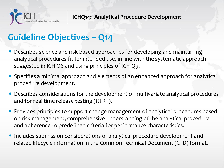

## **Guideline Objectives – Q14**

- Describes science and risk-based approaches for developing and maintaining analytical procedures fit for intended use, in line with the systematic approach suggested in ICH Q8 and using principles of ICH Q9.
- Specifies a minimal approach and elements of an enhanced approach for analytical procedure development.
- Describes considerations for the development of multivariate analytical procedures and for real time release testing (RTRT).
- Provides principles to support change management of analytical procedures based on risk management, comprehensive understanding of the analytical procedure and adherence to predefined criteria for performance characteristics.
- Includes submission considerations of analytical procedure development and related lifecycle information in the Common Technical Document (CTD) format.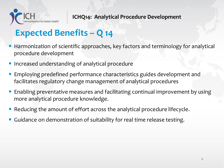

## **Expected Benefits – Q 14**

- Harmonization of scientific approaches, key factors and terminology for analytical procedure development
- Increased understanding of analytical procedure
- Employing predefined performance characteristics guides development and facilitates regulatory change management of analytical procedures
- Enabling preventative measures and facilitating continual improvement by using more analytical procedure knowledge.
- Reducing the amount of effort across the analytical procedure lifecycle.
- Guidance on demonstration of suitability for real time release testing.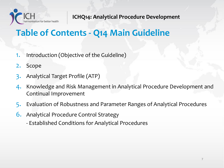

# **Table of Contents - Q14 Main Guideline**

- 1. Introduction (Objective of the Guideline)
- 2. Scope
- 3. Analytical Target Profile (ATP)
- 4. Knowledge and Risk Management in Analytical Procedure Development and Continual Improvement
- 5. Evaluation of Robustness and Parameter Ranges of Analytical Procedures
- 6. Analytical Procedure Control Strategy
	- Established Conditions for Analytical Procedures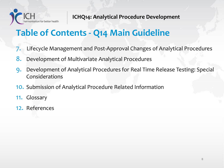

# **Table of Contents - Q14 Main Guideline**

- 7. Lifecycle Management and Post-Approval Changes of Analytical Procedures
- 8. Development of Multivariate Analytical Procedures
- 9. Development of Analytical Procedures for Real Time Release Testing: Special Considerations
- 10. Submission of Analytical Procedure Related Information
- 11. Glossary
- 12. References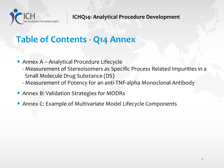

## **Table of Contents - Q14 Annex**

- Annex A Analytical Procedure Lifecycle
	- Measurement of Stereoisomers as Specific Process Related Impurities in a Small Molecule Drug Substance (DS)
	- Measurement of Potency for an anti-TNF-alpha Monoclonal Antibody
- Annex B: Validation Strategies for MODRs
- Annex C: Example of Multivariate Model Lifecycle Components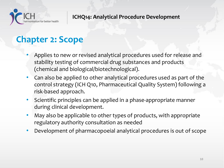

## **Chapter 2: Scope**

- Applies to new or revised analytical procedures used for release and stability testing of commercial drug substances and products (chemical and biological/biotechnological).
- Can also be applied to other analytical procedures used as part of the control strategy (ICH Q10, Pharmaceutical Quality System) following a risk-based approach.
- Scientific principles can be applied in a phase-appropriate manner during clinical development.
- May also be applicable to other types of products, with appropriate regulatory authority consultation as needed
- Development of pharmacopoeial analytical procedures is out of scope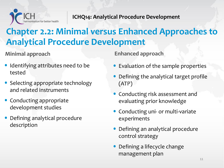

# **Chapter 2.2: Minimal versus Enhanced Approaches to Analytical Procedure Development**

#### **Minimal approach**

- Identifying attributes need to be tested
- Selecting appropriate technology and related instruments
- Conducting appropriate development studies
- Defining analytical procedure description

**Enhanced approach** 

- Evaluation of the sample properties
- Defining the analytical target profile (ATP)
- Conducting risk assessment and evaluating prior knowledge
- Conducting uni- or multi-variate experiments
- Defining an analytical procedure control strategy
- Defining a lifecycle change management plan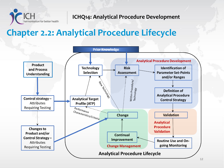

## **Chapter 2.2: Analytical Procedure Lifecycle**

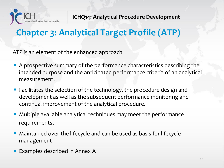

# **Chapter 3: Analytical Target Profile (ATP)**

ATP is an element of the enhanced approach

- A prospective summary of the performance characteristics describing the intended purpose and the anticipated performance criteria of an analytical measurement.
- Facilitates the selection of the technology, the procedure design and development as well as the subsequent performance monitoring and continual improvement of the analytical procedure.
- Multiple available analytical techniques may meet the performance requirements.
- Maintained over the lifecycle and can be used as basis for lifecycle management
- Examples described in Annex A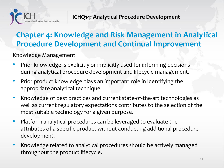

## **Chapter 4: Knowledge and Risk Management in Analytical Procedure Development and Continual Improvement**

Knowledge Management

- Prior knowledge is explicitly or implicitly used for informing decisions during analytical procedure development and lifecycle management.
- Prior product knowledge plays an important role in identifying the appropriate analytical technique.
- Knowledge of best practices and current state-of-the-art technologies as well as current regulatory expectations contributes to the selection of the most suitable technology for a given purpose.
- Platform analytical procedures can be leveraged to evaluate the attributes of a specific product without conducting additional procedure development.
- Knowledge related to analytical procedures should be actively managed throughout the product lifecycle.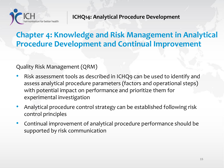

### **Chapter 4: Knowledge and Risk Management in Analytical Procedure Development and Continual Improvement**

#### Quality Risk Management (QRM)

- Risk assessment tools as described in ICHQ9 can be used to identify and assess analytical procedure parameters (factors and operational steps) with potential impact on performance and prioritize them for experimental investigation
- Analytical procedure control strategy can be established following risk control principles
- Continual improvement of analytical procedure performance should be supported by risk communication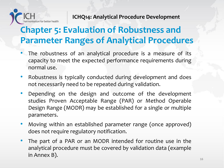

## **Chapter 5: Evaluation of Robustness and Parameter Ranges of Analytical Procedures**

- The robustness of an analytical procedure is a measure of its capacity to meet the expected performance requirements during normal use.
- Robustness is typically conducted during development and does not necessarily need to be repeated during validation.
- Depending on the design and outcome of the development studies Proven Acceptable Range (PAR) or Method Operable Design Range (MODR) may be established for a single or multiple parameters.
- Moving within an established parameter range (once approved) does not require regulatory notification.
- The part of a PAR or an MODR intended for routine use in the analytical procedure must be covered by validation data (example in Annex B).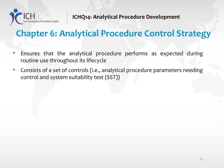

## **Chapter 6: Analytical Procedure Control Strategy**

- Ensures that the analytical procedure performs as expected during routine use throughout its lifecycle
- Consists of a set of controls (i.e., analytical procedure parameters needing control and system suitability test (SST))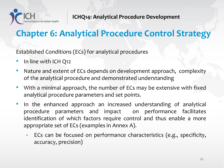

# **Chapter 6: Analytical Procedure Control Strategy**

Established Conditions (ECs) for analytical procedures

- In line with ICH Q12
- Nature and extent of ECs depends on development approach, complexity of the analytical procedure and demonstrated understanding
- With a minimal approach, the number of ECs may be extensive with fixed analytical procedure parameters and set points.
- In the enhanced approach an increased understanding of analytical procedure parameters and impact on performance facilitates identification of which factors require control and thus enable a more appropriate set of ECs (examples in Annex A).
	- ECs can be focused on performance characteristics (e.g., specificity, accuracy, precision)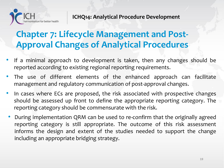

## **Chapter 7: Lifecycle Management and Post-Approval Changes of Analytical Procedures**

- If a minimal approach to development is taken, then any changes should be reported according to existing regional reporting requirements.
- The use of different elements of the enhanced approach can facilitate management and regulatory communication of post-approval changes.
- In cases where ECs are proposed, the risk associated with prospective changes should be assessed up front to define the appropriate reporting category. The reporting category should be commensurate with the risk.
- During implementation QRM can be used to re-confirm that the originally agreed reporting category is still appropriate. The outcome of this risk assessment informs the design and extent of the studies needed to support the change including an appropriate bridging strategy.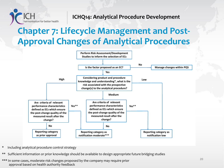

## **Chapter 7: Lifecycle Management and Post-Approval Changes of Analytical Procedures**



- \* Including analytical procedure control strategy
- \*\* Sufficient information or prior knowledge should be available to design appropriate future bridging studies
- \*\*\* In some cases, moderate risk changes proposed by the company may require prior approval based on health authority feedback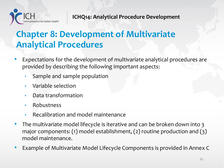

## **Chapter 8: Development of Multivariate Analytical Procedures**

- Expectations for the development of multivariate analytical procedures are provided by describing the following important aspects:
	- Sample and sample population
	- Variable selection
	- Data transformation
	- Robustness
	- Recalibration and model maintenance
- The multivariate model lifecycle is iterative and can be broken down into 3 major components: (1) model establishment, (2) routine production and (3) model maintenance.
- Example of Multivariate Model Lifecycle Components is provided in Annex C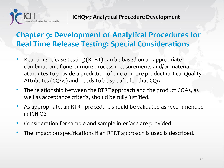

### **Chapter 9: Development of Analytical Procedures for Real Time Release Testing: Special Considerations**

- Real time release testing (RTRT) can be based on an appropriate combination of one or more process measurements and/or material attributes to provide a prediction of one or more product Critical Quality Attributes (CQAs) and needs to be specific for that CQA.
- The relationship between the RTRT approach and the product CQAs, as well as acceptance criteria, should be fully justified.
- As appropriate, an RTRT procedure should be validated as recommended in ICH Q2.
- Consideration for sample and sample interface are provided.
- The impact on specifications if an RTRT approach is used is described.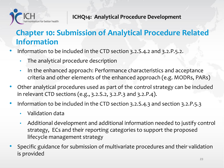

## **Chapter 10: Submission of Analytical Procedure Related Information**

- Information to be included in the CTD section 3.2.S.4.2 and 3.2.P.5.2.
	- The analytical procedure description
	- In the enhanced approach: Performance characteristics and acceptance criteria and other elements of the enhanced approach (e.g. MODRs, PARs)
- Other analytical procedures used as part of the control strategy can be included in relevant CTD sections (e.g., 3.2.S.2, 3.2.P.3 and 3.2.P.4).
- Information to be included in the CTD section 3.2.S.4.3 and section 3.2.P.5.3
	- Validation data
	- Additional development and additional information needed to justify control strategy, ECs and their reporting categories to support the proposed lifecycle management strategy
- Specific guidance for submission of multivariate procedures and their validation is provided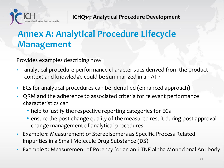

# **Annex A: Analytical Procedure Lifecycle Management**

Provides examples describing how

- analytical procedure performance characteristics derived from the product context and knowledge could be summarized in an ATP
- ECs for analytical procedures can be identified (enhanced approach)
- QRM and the adherence to associated criteria for relevant performance characteristics can
	- help to justify the respective reporting categories for ECs
	- ensure the post-change quality of the measured result during post approval change management of analytical procedures
- Example 1: Measurement of Stereoisomers as Specific Process Related Impurities in a Small Molecule Drug Substance (DS)
- Example 2: Measurement of Potency for an anti-TNF-alpha Monoclonal Antibody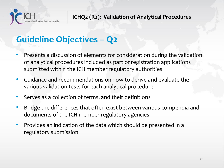

# **Guideline Objectives – Q2**

- Presents a discussion of elements for consideration during the validation of analytical procedures included as part of registration applications submitted within the ICH member regulatory authorities
- Guidance and recommendations on how to derive and evaluate the various validation tests for each analytical procedure
- Serves as a collection of terms, and their definitions
- Bridge the differences that often exist between various compendia and documents of the ICH member regulatory agencies
- Provides an indication of the data which should be presented in a regulatory submission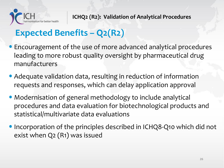

# **Expected Benefits – Q2(R2)**

- •Encouragement of the use of more advanced analytical procedures leading to more robust quality oversight by pharmaceutical drug manufacturers
- •Adequate validation data, resulting in reduction of information requests and responses, which can delay application approval
- •Modernisation of general methodology to include analytical procedures and data evaluation for biotechnological products and statistical/multivariate data evaluations
- •Incorporation of the principles described in ICHQ8-Q10 which did not exist when Q2 (R1) was issued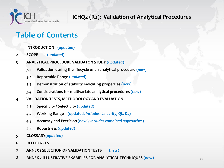

### **Table of Contents**

- **1 INTRODUCTION (***updated***)**
- **2 SCOPE (***updated***)**
- **3 ANALYTICAL PROCEDURE VALIDATON STUDY (***updated***)**
	- **3.1 Validation during the lifecycle of an analytical procedure (***new***)**
	- **3.2 Reportable Range (***updated***)**
	- **3.3 Demonstration of stability indicating properties (***new***)**
	- **3.4 Considerations for multivariate analytical procedures (***new***)**
- **4 VALIDATION TESTS, METHODOLOGY AND EVALUATION**
	- **4.1 Specificity / Selectivity (***updated***)**
	- **4.2 Working Range (updated,** *includes: Linearity, QL, DL***)**
	- **4.3 Accuracy and Precision (***newly includes combined approaches***)**
	- **4.4 Robustness (***updated***)**
- **5 GLOSSARY(***updated***)**
- **6 REFERENCES**
- **7 ANNEX 1 SELECTION OF VALIDATION TESTS (***new***)**
- **8 ANNEX 2 ILLUSTRATIVE EXAMPLES FOR ANALYTICAL TECHNIQUES (new)**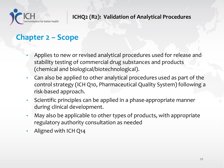

### **Chapter 2 – Scope**

- Applies to new or revised analytical procedures used for release and stability testing of commercial drug substances and products (chemical and biological/biotechnological).
- Can also be applied to other analytical procedures used as part of the control strategy (ICH Q10, Pharmaceutical Quality System) following a risk-based approach.
- Scientific principles can be applied in a phase-appropriate manner during clinical development.
- May also be applicable to other types of products, with appropriate regulatory authority consultation as needed
- Aligned with ICH Q14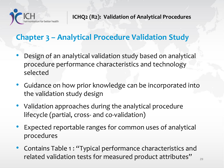

## **Chapter 3 – Analytical Procedure Validation Study**

- Design of an analytical validation study based on analytical procedure performance characteristics and technology selected
- Guidance on how prior knowledge can be incorporated into the validation study design
- Validation approaches during the analytical procedure lifecycle (partial, cross- and co-validation)
- Expected reportable ranges for common uses of analytical procedures
- Contains Table 1: "Typical performance characteristics and related validation tests for measured product attributes"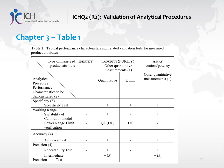

### **Chapter 3 – Table 1**

Table 1: Typical performance characteristics and related validation tests for measured product attributes

| Type of measured<br>product attribute                           | <b>IDENTITY</b> | <b>IMPURITY (PURITY)</b><br>Other quantitative<br>measurements $(1)$ |        | ASSAY<br>content/potency                 |
|-----------------------------------------------------------------|-----------------|----------------------------------------------------------------------|--------|------------------------------------------|
| Analytical<br>Procedure<br>Performance<br>Characteristics to be |                 | Quantitative                                                         | Limit  | Other quantitative<br>measurements $(1)$ |
| demonstrated (2)                                                |                 |                                                                      |        |                                          |
| Specificity $(3)$                                               |                 |                                                                      |        |                                          |
| Specificity Test                                                | $^{+}$          | $^{+}$                                                               | $^{+}$ | $^{+}$                                   |
| Working Range<br>Suitability of<br>Calibration model            |                 | $^{+}$                                                               |        | $^{+}$                                   |
| Lower Range Limit<br>verification                               |                 | $QL$ (DL)                                                            | DL     |                                          |
| Accuracy (4)                                                    |                 |                                                                      |        |                                          |
| <b>Accuracy Test</b>                                            |                 | $^{+}$                                                               |        | $^{+}$                                   |
| Precision (4)                                                   |                 |                                                                      |        |                                          |
| Repeatability Test                                              |                 | $^+$                                                                 |        | $^+$                                     |
| Intermediate<br>Precision<br>Test                               |                 | $+(5)$                                                               |        | $+ (5)$                                  |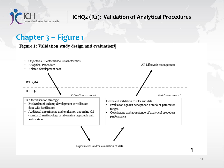

### **Chapter 3 – Figure 1**

Figure 1: Validation study design and evaluation



Experiments and/or evaluation of data

ſ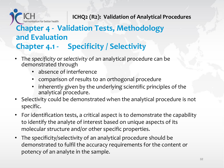### isation for better health **Chapter 4 - Validation Tests, Methodology and Evaluation Chapter 4.1 - Specificity / Selectivity**

- The *specificity* or *selectivity* of an analytical procedure can be demonstrated through
	- absence of interference
	- comparison of results to an orthogonal procedure
	- inherently given by the underlying scientific principles of the analytical procedure.
- Selectivity could be demonstrated when the analytical procedure is not specific.
- For identification tests, a critical aspect is to demonstrate the capability to identify the analyte of interest based on unique aspects of its molecular structure and/or other specific properties.
- The specificity/selectivity of an analytical procedure should be demonstrated to fulfil the accuracy requirements for the content or potency of an analyte in the sample.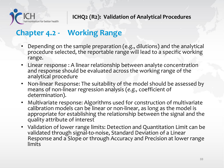

### **Chapter 4.2 - Working Range**

- Depending on the sample preparation (e.g., dilutions) and the analytical procedure selected, the reportable range will lead to a specific working range.
- Linear response : A linear relationship between analyte concentration and response should be evaluated across the working range of the analytical procedure
- Non-linear Response: The suitability of the model should be assessed by means of non-linear regression analysis (*e.g.,* coefficient of determination).
- Multivariate response: Algorithms used for construction of multivariate calibration models can be linear or non-linear, as long as the model is appropriate for establishing the relationship between the signal and the quality attribute of interest
- Validation of lower range limits: Detection and Quantitation Limit can be validated through signal-to-noise, Standard Deviation of a Linear Response and a Slope or through Accuracy and Precision at lower range limits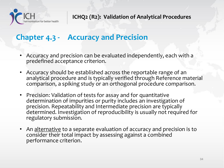

### **Chapter 4.3 - Accuracy and Precision**

- Accuracy and precision can be evaluated independently, each with a predefined acceptance criterion.
- Accuracy should be established across the reportable range of an analytical procedure and is typically verified through Reference material comparison, a spiking study or an orthogonal procedure comparison.
- Precision: Validation of tests for assay and for quantitative determination of impurities or purity includes an investigation of precision. Repeatability and Intermediate precision are typically determined. Investigation of reproducibility is usually not required for regulatory submission.
- An alternative to a separate evaluation of accuracy and precision is to consider their total impact by assessing against a combined performance criterion.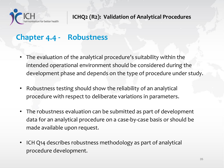

### **Chapter 4.4 - Robustness**

- The evaluation of the analytical procedure's suitability within the intended operational environment should be considered during the development phase and depends on the type of procedure under study.
- Robustness testing should show the reliability of an analytical procedure with respect to deliberate variations in parameters.
- The robustness evaluation can be submitted as part of development data for an analytical procedure on a case-by-case basis or should be made available upon request.
- ICH Q14 describes robustness methodology as part of analytical procedure development.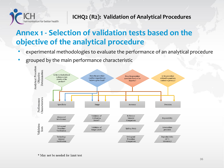

## **Annex 1 - Selection of validation tests based on the objective of the analytical procedure**

- experimental methodologies to evaluate the performance of an analytical procedure
- grouped by the main performance characteristic

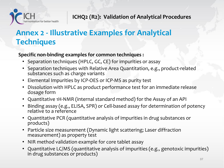

## **Annex 2 - Illustrative Examples for Analytical Techniques**

**Specific non-binding examples for common techniques :**

- Separation techniques (HPLC, GC, CE) for impurities or assay
- Separation techniques with Relative Area Quantitation, e.g., product-related substances such as charge variants
- Elemental Impurities by ICP-OES or ICP-MS as purity test
- Dissolution with HPLC as product performance test for an immediate release dosage form
- Quantitative 1H-NMR (internal standard method) for the Assay of an API
- Binding assay (e.g., ELISA, SPR) or Cell-based assay for determination of potency relative to a reference
- Quantitative PCR (quantitative analysis of impurities in drug substances or products)
- Particle size measurement (Dynamic light scattering; Laser diffraction measurement) as property test
- NIR method validation example for core tablet assay
- Quantitative LC/MS (quantitative analysis of impurities (e.g*.,* genotoxic impurities) in drug substances or products)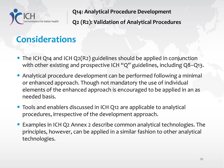

## **Considerations**

- The ICH Q14 and ICH Q2(R2) guidelines should be applied in conjunction with other existing and prospective ICH "Q" guidelines, including Q8-Q13.
- Analytical procedure development can be performed following a minimal or enhanced approach. Though not mandatory the use of individual elements of the enhanced approach is encouraged to be applied in an as needed basis.
- Tools and enablers discussed in ICH Q12 are applicable to analytical procedures, irrespective of the development approach.
- Examples in ICH Q2 Annex 2 describe common analytical technologies. The principles, however, can be applied in a similar fashion to other analytical technologies.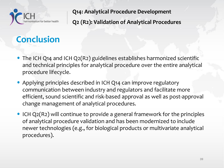

## **Conclusion**

- The ICH Q14 and ICH Q2(R2) guidelines establishes harmonized scientific and technical principles for analytical procedure over the entire analytical procedure lifecycle.
- Applying principles described in ICH Q14 can improve regulatory communication between industry and regulators and facilitate more efficient, sound scientific and risk-based approval as well as post-approval change management of analytical procedures.
- ICH Q2(R2) will continue to provide a general framework for the principles of analytical procedure validation and has been modernized to include newer technologies (e.g., for biological products or multivariate analytical procedures).